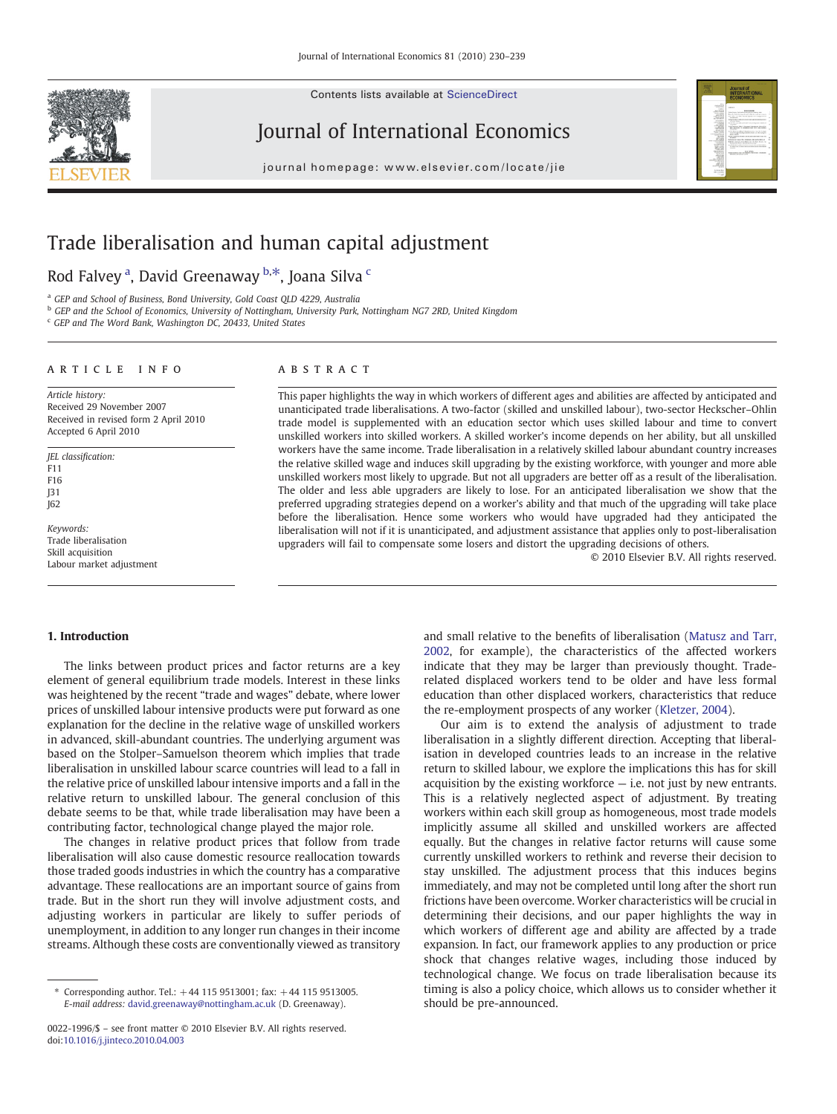Contents lists available at ScienceDirect



Journal of International Economics



journal homepage: www.elsevier.com/locate/jie

## Trade liberalisation and human capital adjustment

## Rod Falvey <sup>a</sup>, David Greenaway <sup>b,\*</sup>, Joana Silva <sup>c</sup>

<sup>a</sup> GEP and School of Business, Bond University, Gold Coast QLD 4229, Australia

b GEP and the School of Economics, University of Nottingham, University Park, Nottingham NG7 2RD, United Kingdom

<sup>c</sup> GEP and The Word Bank, Washington DC, 20433, United States

### article info abstract

Article history: Received 29 November 2007 Received in revised form 2 April 2010 Accepted 6 April 2010

JEL classification: F11 F16 J31 J62

Keywords: Trade liberalisation Skill acquisition Labour market adjustment

## 1. Introduction

The links between product prices and factor returns are a key element of general equilibrium trade models. Interest in these links was heightened by the recent "trade and wages" debate, where lower prices of unskilled labour intensive products were put forward as one explanation for the decline in the relative wage of unskilled workers in advanced, skill-abundant countries. The underlying argument was based on the Stolper–Samuelson theorem which implies that trade liberalisation in unskilled labour scarce countries will lead to a fall in the relative price of unskilled labour intensive imports and a fall in the relative return to unskilled labour. The general conclusion of this debate seems to be that, while trade liberalisation may have been a contributing factor, technological change played the major role.

The changes in relative product prices that follow from trade liberalisation will also cause domestic resource reallocation towards those traded goods industries in which the country has a comparative advantage. These reallocations are an important source of gains from trade. But in the short run they will involve adjustment costs, and adjusting workers in particular are likely to suffer periods of unemployment, in addition to any longer run changes in their income streams. Although these costs are conventionally viewed as transitory

This paper highlights the way in which workers of different ages and abilities are affected by anticipated and unanticipated trade liberalisations. A two-factor (skilled and unskilled labour), two-sector Heckscher–Ohlin trade model is supplemented with an education sector which uses skilled labour and time to convert unskilled workers into skilled workers. A skilled worker's income depends on her ability, but all unskilled workers have the same income. Trade liberalisation in a relatively skilled labour abundant country increases the relative skilled wage and induces skill upgrading by the existing workforce, with younger and more able unskilled workers most likely to upgrade. But not all upgraders are better off as a result of the liberalisation. The older and less able upgraders are likely to lose. For an anticipated liberalisation we show that the preferred upgrading strategies depend on a worker's ability and that much of the upgrading will take place before the liberalisation. Hence some workers who would have upgraded had they anticipated the liberalisation will not if it is unanticipated, and adjustment assistance that applies only to post-liberalisation upgraders will fail to compensate some losers and distort the upgrading decisions of others.

© 2010 Elsevier B.V. All rights reserved.

and small relative to the benefits of liberalisation [\(Matusz and Tarr,](#page--1-0) [2002](#page--1-0), for example), the characteristics of the affected workers indicate that they may be larger than previously thought. Traderelated displaced workers tend to be older and have less formal education than other displaced workers, characteristics that reduce the re-employment prospects of any worker ([Kletzer, 2004\)](#page--1-0).

Our aim is to extend the analysis of adjustment to trade liberalisation in a slightly different direction. Accepting that liberalisation in developed countries leads to an increase in the relative return to skilled labour, we explore the implications this has for skill acquisition by the existing workforce  $-$  i.e. not just by new entrants. This is a relatively neglected aspect of adjustment. By treating workers within each skill group as homogeneous, most trade models implicitly assume all skilled and unskilled workers are affected equally. But the changes in relative factor returns will cause some currently unskilled workers to rethink and reverse their decision to stay unskilled. The adjustment process that this induces begins immediately, and may not be completed until long after the short run frictions have been overcome. Worker characteristics will be crucial in determining their decisions, and our paper highlights the way in which workers of different age and ability are affected by a trade expansion. In fact, our framework applies to any production or price shock that changes relative wages, including those induced by technological change. We focus on trade liberalisation because its timing is also a policy choice, which allows us to consider whether it should be pre-announced.

<sup>⁎</sup> Corresponding author. Tel.: +44 115 9513001; fax: +44 115 9513005. E-mail address: [david.greenaway@nottingham.ac.uk](mailto:david.greenaway@nottingham.ac.uk) (D. Greenaway).

<sup>0022-1996/\$</sup> – see front matter © 2010 Elsevier B.V. All rights reserved. doi[:10.1016/j.jinteco.2010.04.003](http://dx.doi.org/10.1016/j.jinteco.2010.04.003)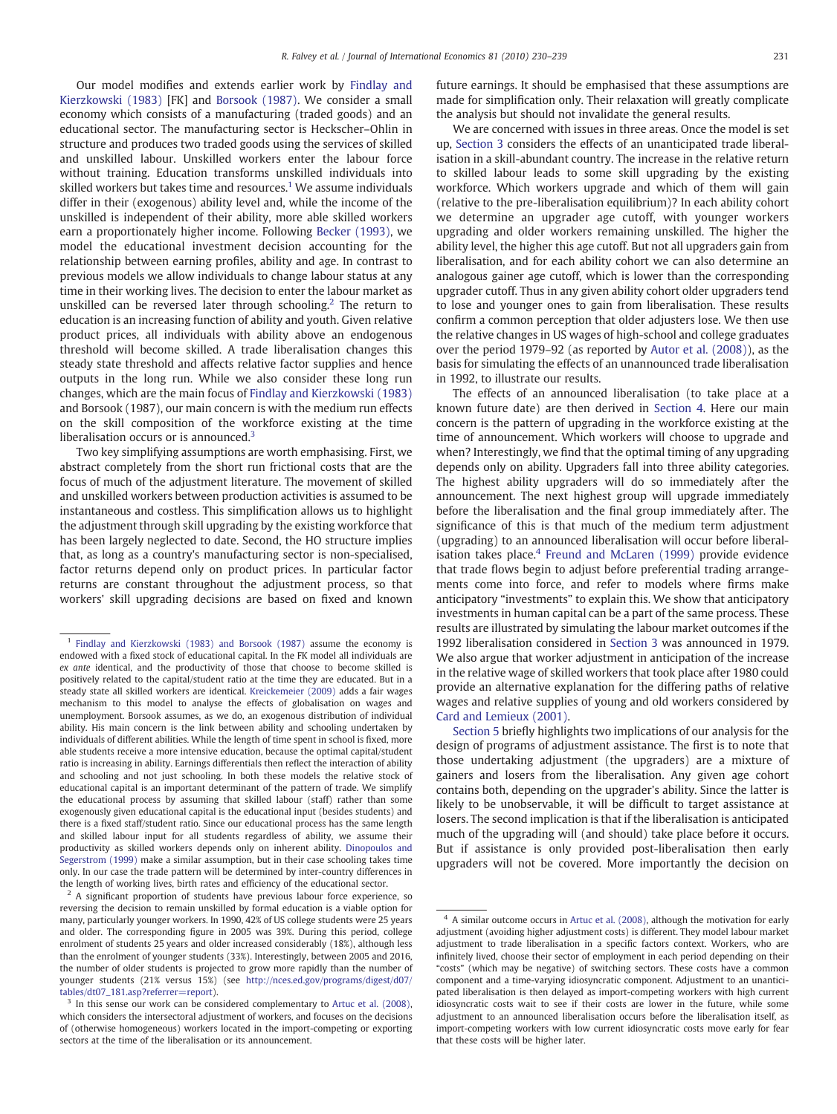Our model modifies and extends earlier work by [Findlay and](#page--1-0) [Kierzkowski \(1983\)](#page--1-0) [FK] and [Borsook \(1987\).](#page--1-0) We consider a small economy which consists of a manufacturing (traded goods) and an educational sector. The manufacturing sector is Heckscher–Ohlin in structure and produces two traded goods using the services of skilled and unskilled labour. Unskilled workers enter the labour force without training. Education transforms unskilled individuals into skilled workers but takes time and resources.<sup>1</sup> We assume individuals differ in their (exogenous) ability level and, while the income of the unskilled is independent of their ability, more able skilled workers earn a proportionately higher income. Following [Becker \(1993\),](#page--1-0) we model the educational investment decision accounting for the relationship between earning profiles, ability and age. In contrast to previous models we allow individuals to change labour status at any time in their working lives. The decision to enter the labour market as unskilled can be reversed later through schooling.<sup>2</sup> The return to education is an increasing function of ability and youth. Given relative product prices, all individuals with ability above an endogenous threshold will become skilled. A trade liberalisation changes this steady state threshold and affects relative factor supplies and hence outputs in the long run. While we also consider these long run changes, which are the main focus of [Findlay and Kierzkowski \(1983\)](#page--1-0) [and Borsook \(1987\)](#page--1-0), our main concern is with the medium run effects on the skill composition of the workforce existing at the time liberalisation occurs or is announced. $3$ 

Two key simplifying assumptions are worth emphasising. First, we abstract completely from the short run frictional costs that are the focus of much of the adjustment literature. The movement of skilled and unskilled workers between production activities is assumed to be instantaneous and costless. This simplification allows us to highlight the adjustment through skill upgrading by the existing workforce that has been largely neglected to date. Second, the HO structure implies that, as long as a country's manufacturing sector is non-specialised, factor returns depend only on product prices. In particular factor returns are constant throughout the adjustment process, so that workers' skill upgrading decisions are based on fixed and known future earnings. It should be emphasised that these assumptions are made for simplification only. Their relaxation will greatly complicate the analysis but should not invalidate the general results.

We are concerned with issues in three areas. Once the model is set up, [Section 3](#page--1-0) considers the effects of an unanticipated trade liberalisation in a skill-abundant country. The increase in the relative return to skilled labour leads to some skill upgrading by the existing workforce. Which workers upgrade and which of them will gain (relative to the pre-liberalisation equilibrium)? In each ability cohort we determine an upgrader age cutoff, with younger workers upgrading and older workers remaining unskilled. The higher the ability level, the higher this age cutoff. But not all upgraders gain from liberalisation, and for each ability cohort we can also determine an analogous gainer age cutoff, which is lower than the corresponding upgrader cutoff. Thus in any given ability cohort older upgraders tend to lose and younger ones to gain from liberalisation. These results confirm a common perception that older adjusters lose. We then use the relative changes in US wages of high-school and college graduates over the period 1979–92 (as reported by [Autor et al. \(2008\)\)](#page--1-0), as the basis for simulating the effects of an unannounced trade liberalisation in 1992, to illustrate our results.

The effects of an announced liberalisation (to take place at a known future date) are then derived in [Section 4](#page--1-0). Here our main concern is the pattern of upgrading in the workforce existing at the time of announcement. Which workers will choose to upgrade and when? Interestingly, we find that the optimal timing of any upgrading depends only on ability. Upgraders fall into three ability categories. The highest ability upgraders will do so immediately after the announcement. The next highest group will upgrade immediately before the liberalisation and the final group immediately after. The significance of this is that much of the medium term adjustment (upgrading) to an announced liberalisation will occur before liberal-isation takes place.<sup>4</sup> [Freund and McLaren \(1999\)](#page--1-0) provide evidence that trade flows begin to adjust before preferential trading arrangements come into force, and refer to models where firms make anticipatory "investments" to explain this. We show that anticipatory investments in human capital can be a part of the same process. These results are illustrated by simulating the labour market outcomes if the 1992 liberalisation considered in [Section 3](#page--1-0) was announced in 1979. We also argue that worker adjustment in anticipation of the increase in the relative wage of skilled workers that took place after 1980 could provide an alternative explanation for the differing paths of relative wages and relative supplies of young and old workers considered by [Card and Lemieux \(2001\)](#page--1-0).

[Section 5](#page--1-0) briefly highlights two implications of our analysis for the design of programs of adjustment assistance. The first is to note that those undertaking adjustment (the upgraders) are a mixture of gainers and losers from the liberalisation. Any given age cohort contains both, depending on the upgrader's ability. Since the latter is likely to be unobservable, it will be difficult to target assistance at losers. The second implication is that if the liberalisation is anticipated much of the upgrading will (and should) take place before it occurs. But if assistance is only provided post-liberalisation then early upgraders will not be covered. More importantly the decision on

<sup>1</sup> [Findlay and Kierzkowski \(1983\) and Borsook \(1987\)](#page--1-0) assume the economy is endowed with a fixed stock of educational capital. In the FK model all individuals are ex ante identical, and the productivity of those that choose to become skilled is positively related to the capital/student ratio at the time they are educated. But in a steady state all skilled workers are identical. [Kreickemeier \(2009\)](#page--1-0) adds a fair wages mechanism to this model to analyse the effects of globalisation on wages and unemployment. Borsook assumes, as we do, an exogenous distribution of individual ability. His main concern is the link between ability and schooling undertaken by individuals of different abilities. While the length of time spent in school is fixed, more able students receive a more intensive education, because the optimal capital/student ratio is increasing in ability. Earnings differentials then reflect the interaction of ability and schooling and not just schooling. In both these models the relative stock of educational capital is an important determinant of the pattern of trade. We simplify the educational process by assuming that skilled labour (staff) rather than some exogenously given educational capital is the educational input (besides students) and there is a fixed staff/student ratio. Since our educational process has the same length and skilled labour input for all students regardless of ability, we assume their productivity as skilled workers depends only on inherent ability. [Dinopoulos and](#page--1-0) [Segerstrom \(1999\)](#page--1-0) make a similar assumption, but in their case schooling takes time only. In our case the trade pattern will be determined by inter-country differences in the length of working lives, birth rates and efficiency of the educational sector.

<sup>2</sup> A significant proportion of students have previous labour force experience, so reversing the decision to remain unskilled by formal education is a viable option for many, particularly younger workers. In 1990, 42% of US college students were 25 years and older. The corresponding figure in 2005 was 39%. During this period, college enrolment of students 25 years and older increased considerably (18%), although less than the enrolment of younger students (33%). Interestingly, between 2005 and 2016, the number of older students is projected to grow more rapidly than the number of younger students (21% versus 15%) (see [http://nces.ed.gov/programs/digest/d07/](http://nces.ed.gov/programs/digest/d07/tables/dt07_181.asp?referrer=report) [tables/dt07\\_181.asp?referrer=report](http://nces.ed.gov/programs/digest/d07/tables/dt07_181.asp?referrer=report)).

 $3$  In this sense our work can be considered complementary to [Artuc et al. \(2008\)](#page--1-0), which considers the intersectoral adjustment of workers, and focuses on the decisions of (otherwise homogeneous) workers located in the import-competing or exporting sectors at the time of the liberalisation or its announcement.

<sup>4</sup> A similar outcome occurs in [Artuc et al. \(2008\)](#page--1-0), although the motivation for early adjustment (avoiding higher adjustment costs) is different. They model labour market adjustment to trade liberalisation in a specific factors context. Workers, who are infinitely lived, choose their sector of employment in each period depending on their "costs" (which may be negative) of switching sectors. These costs have a common component and a time-varying idiosyncratic component. Adjustment to an unanticipated liberalisation is then delayed as import-competing workers with high current idiosyncratic costs wait to see if their costs are lower in the future, while some adjustment to an announced liberalisation occurs before the liberalisation itself, as import-competing workers with low current idiosyncratic costs move early for fear that these costs will be higher later.